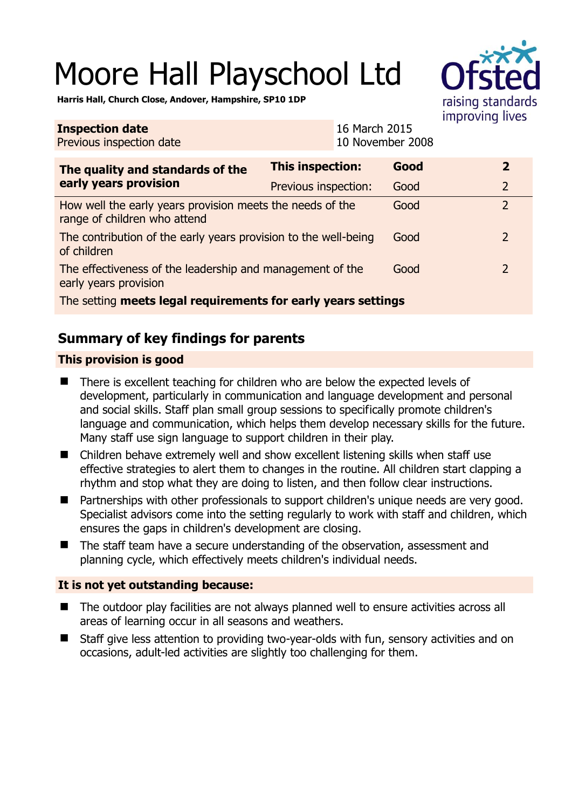# Moore Hall Playschool Ltd



**Harris Hall, Church Close, Andover, Hampshire, SP10 1DP** 

| <b>Inspection date</b><br>Previous inspection date                                        |                         | 16 March 2015<br>10 November 2008 |      |  |                |
|-------------------------------------------------------------------------------------------|-------------------------|-----------------------------------|------|--|----------------|
| The quality and standards of the<br>early years provision                                 | <b>This inspection:</b> |                                   | Good |  | $\overline{2}$ |
|                                                                                           | Previous inspection:    |                                   | Good |  | $\overline{2}$ |
| How well the early years provision meets the needs of the<br>range of children who attend |                         |                                   | Good |  | $\overline{2}$ |
| The contribution of the early years provision to the well-being<br>of children            |                         |                                   | Good |  | $\overline{2}$ |
| The effectiveness of the leadership and management of the<br>early years provision        |                         |                                   | Good |  | 2              |
| The setting meets legal requirements for early years settings                             |                         |                                   |      |  |                |

## **Summary of key findings for parents**

### **This provision is good**

- There is excellent teaching for children who are below the expected levels of development, particularly in communication and language development and personal and social skills. Staff plan small group sessions to specifically promote children's language and communication, which helps them develop necessary skills for the future. Many staff use sign language to support children in their play.
- Children behave extremely well and show excellent listening skills when staff use effective strategies to alert them to changes in the routine. All children start clapping a rhythm and stop what they are doing to listen, and then follow clear instructions.
- Partnerships with other professionals to support children's unique needs are very good. Specialist advisors come into the setting regularly to work with staff and children, which ensures the gaps in children's development are closing.
- The staff team have a secure understanding of the observation, assessment and planning cycle, which effectively meets children's individual needs.

#### **It is not yet outstanding because:**

- The outdoor play facilities are not always planned well to ensure activities across all areas of learning occur in all seasons and weathers.
- Staff give less attention to providing two-year-olds with fun, sensory activities and on occasions, adult-led activities are slightly too challenging for them.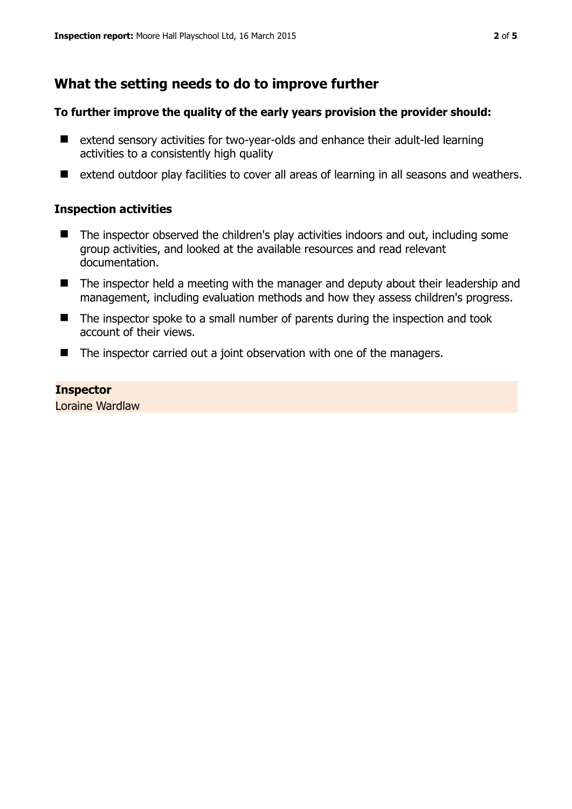## **What the setting needs to do to improve further**

#### **To further improve the quality of the early years provision the provider should:**

- extend sensory activities for two-year-olds and enhance their adult-led learning activities to a consistently high quality
- extend outdoor play facilities to cover all areas of learning in all seasons and weathers.

#### **Inspection activities**

- The inspector observed the children's play activities indoors and out, including some group activities, and looked at the available resources and read relevant documentation.
- The inspector held a meeting with the manager and deputy about their leadership and management, including evaluation methods and how they assess children's progress.
- $\blacksquare$  The inspector spoke to a small number of parents during the inspection and took account of their views.
- The inspector carried out a joint observation with one of the managers.

#### **Inspector**

Loraine Wardlaw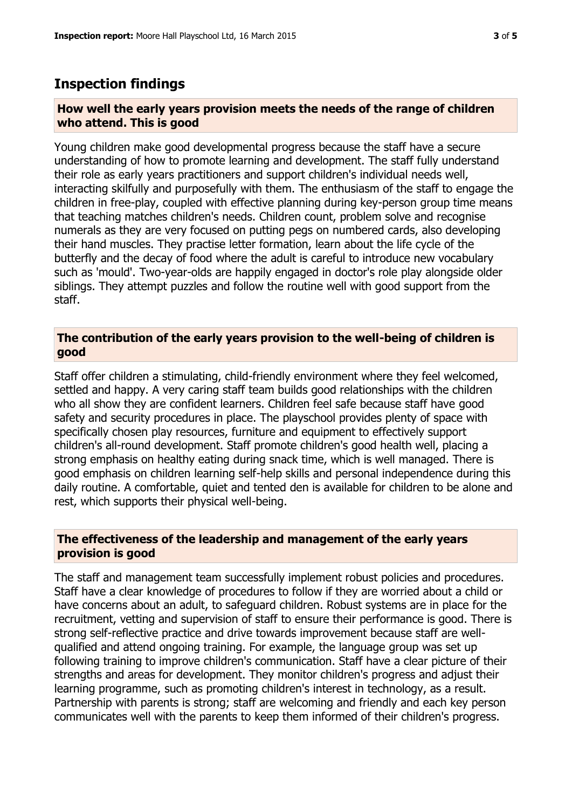## **Inspection findings**

#### **How well the early years provision meets the needs of the range of children who attend. This is good**

Young children make good developmental progress because the staff have a secure understanding of how to promote learning and development. The staff fully understand their role as early years practitioners and support children's individual needs well, interacting skilfully and purposefully with them. The enthusiasm of the staff to engage the children in free-play, coupled with effective planning during key-person group time means that teaching matches children's needs. Children count, problem solve and recognise numerals as they are very focused on putting pegs on numbered cards, also developing their hand muscles. They practise letter formation, learn about the life cycle of the butterfly and the decay of food where the adult is careful to introduce new vocabulary such as 'mould'. Two-year-olds are happily engaged in doctor's role play alongside older siblings. They attempt puzzles and follow the routine well with good support from the staff.

#### **The contribution of the early years provision to the well-being of children is good**

Staff offer children a stimulating, child-friendly environment where they feel welcomed, settled and happy. A very caring staff team builds good relationships with the children who all show they are confident learners. Children feel safe because staff have good safety and security procedures in place. The playschool provides plenty of space with specifically chosen play resources, furniture and equipment to effectively support children's all-round development. Staff promote children's good health well, placing a strong emphasis on healthy eating during snack time, which is well managed. There is good emphasis on children learning self-help skills and personal independence during this daily routine. A comfortable, quiet and tented den is available for children to be alone and rest, which supports their physical well-being.

#### **The effectiveness of the leadership and management of the early years provision is good**

The staff and management team successfully implement robust policies and procedures. Staff have a clear knowledge of procedures to follow if they are worried about a child or have concerns about an adult, to safeguard children. Robust systems are in place for the recruitment, vetting and supervision of staff to ensure their performance is good. There is strong self-reflective practice and drive towards improvement because staff are wellqualified and attend ongoing training. For example, the language group was set up following training to improve children's communication. Staff have a clear picture of their strengths and areas for development. They monitor children's progress and adjust their learning programme, such as promoting children's interest in technology, as a result. Partnership with parents is strong; staff are welcoming and friendly and each key person communicates well with the parents to keep them informed of their children's progress.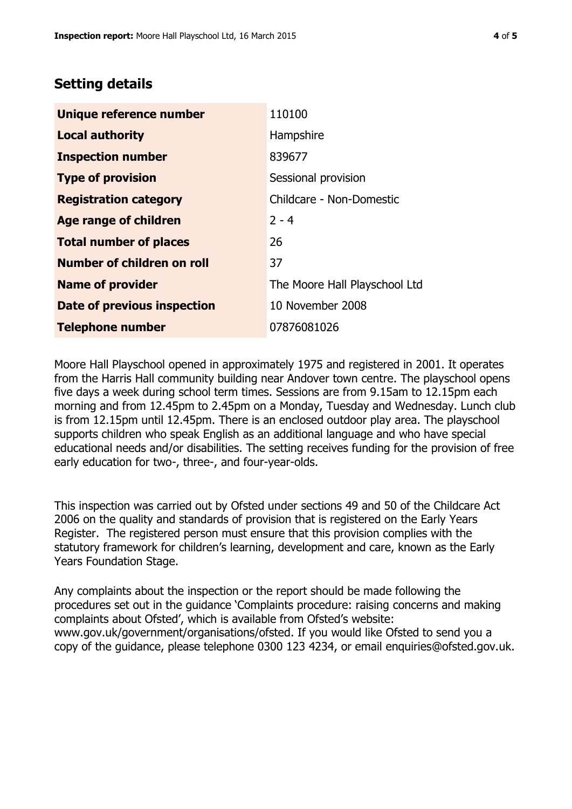## **Setting details**

| Unique reference number       | 110100                        |
|-------------------------------|-------------------------------|
| <b>Local authority</b>        | Hampshire                     |
| <b>Inspection number</b>      | 839677                        |
| <b>Type of provision</b>      | Sessional provision           |
| <b>Registration category</b>  | Childcare - Non-Domestic      |
| <b>Age range of children</b>  | $2 - 4$                       |
| <b>Total number of places</b> | 26                            |
| Number of children on roll    | 37                            |
| <b>Name of provider</b>       | The Moore Hall Playschool Ltd |
| Date of previous inspection   | 10 November 2008              |
| <b>Telephone number</b>       | 07876081026                   |

Moore Hall Playschool opened in approximately 1975 and registered in 2001. It operates from the Harris Hall community building near Andover town centre. The playschool opens five days a week during school term times. Sessions are from 9.15am to 12.15pm each morning and from 12.45pm to 2.45pm on a Monday, Tuesday and Wednesday. Lunch club is from 12.15pm until 12.45pm. There is an enclosed outdoor play area. The playschool supports children who speak English as an additional language and who have special educational needs and/or disabilities. The setting receives funding for the provision of free early education for two-, three-, and four-year-olds.

This inspection was carried out by Ofsted under sections 49 and 50 of the Childcare Act 2006 on the quality and standards of provision that is registered on the Early Years Register. The registered person must ensure that this provision complies with the statutory framework for children's learning, development and care, known as the Early Years Foundation Stage.

Any complaints about the inspection or the report should be made following the procedures set out in the guidance 'Complaints procedure: raising concerns and making complaints about Ofsted', which is available from Ofsted's website: www.gov.uk/government/organisations/ofsted. If you would like Ofsted to send you a copy of the guidance, please telephone 0300 123 4234, or email enquiries@ofsted.gov.uk.